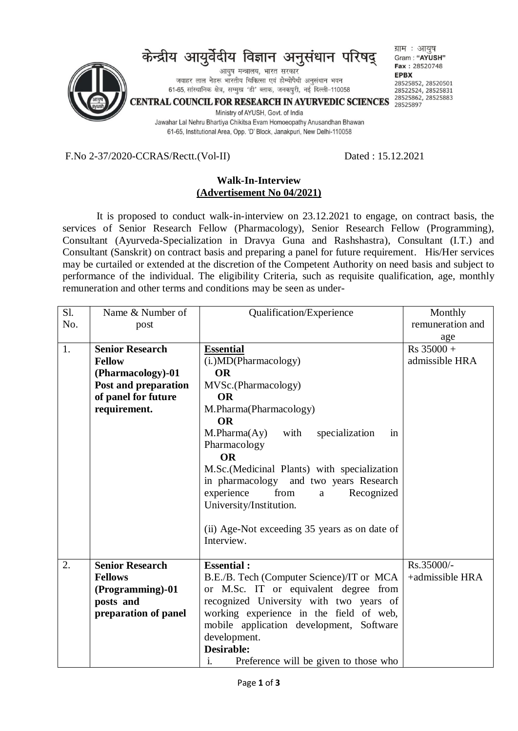

F.No 2-37/2020-CCRAS/Rectt.(Vol-II) Dated : 15.12.2021

## **Walk-In-Interview (Advertisement No 04/2021)**

It is proposed to conduct walk-in-interview on 23.12.2021 to engage, on contract basis, the services of Senior Research Fellow (Pharmacology), Senior Research Fellow (Programming), Consultant (Ayurveda-Specialization in Dravya Guna and Rashshastra), Consultant (I.T.) and Consultant (Sanskrit) on contract basis and preparing a panel for future requirement. His/Her services may be curtailed or extended at the discretion of the Competent Authority on need basis and subject to performance of the individual. The eligibility Criteria, such as requisite qualification, age, monthly remuneration and other terms and conditions may be seen as under-

| Sl. | Name & Number of       | Qualification/Experience                      | Monthly          |
|-----|------------------------|-----------------------------------------------|------------------|
| No. | post                   |                                               | remuneration and |
|     |                        |                                               | age              |
| 1.  | <b>Senior Research</b> | <b>Essential</b>                              | $Rs 35000 +$     |
|     | <b>Fellow</b>          | (i.) MD (Pharmacology)                        | admissible HRA   |
|     | (Pharmacology)-01      | <b>OR</b>                                     |                  |
|     | Post and preparation   | MVSc.(Pharmacology)                           |                  |
|     | of panel for future    | <b>OR</b>                                     |                  |
|     | requirement.           | M.Pharma(Pharmacology)                        |                  |
|     |                        | <b>OR</b>                                     |                  |
|     |                        | $M.Pharma(Ay)$ with<br>specialization<br>in   |                  |
|     |                        | Pharmacology                                  |                  |
|     |                        | <b>OR</b>                                     |                  |
|     |                        | M.Sc.(Medicinal Plants) with specialization   |                  |
|     |                        | in pharmacology and two years Research        |                  |
|     |                        | from<br>experience<br>Recognized<br>a         |                  |
|     |                        | University/Institution.                       |                  |
|     |                        |                                               |                  |
|     |                        | (ii) Age-Not exceeding 35 years as on date of |                  |
|     |                        | Interview.                                    |                  |
|     |                        |                                               |                  |
| 2.  | <b>Senior Research</b> | <b>Essential:</b>                             | Rs.35000/-       |
|     | <b>Fellows</b>         | B.E./B. Tech (Computer Science)/IT or MCA     | +admissible HRA  |
|     | (Programming)-01       | or M.Sc. IT or equivalent degree from         |                  |
|     | posts and              | recognized University with two years of       |                  |
|     | preparation of panel   | working experience in the field of web,       |                  |
|     |                        | mobile application development, Software      |                  |
|     |                        | development.                                  |                  |
|     |                        | <b>Desirable:</b>                             |                  |
|     |                        | Preference will be given to those who<br>1.   |                  |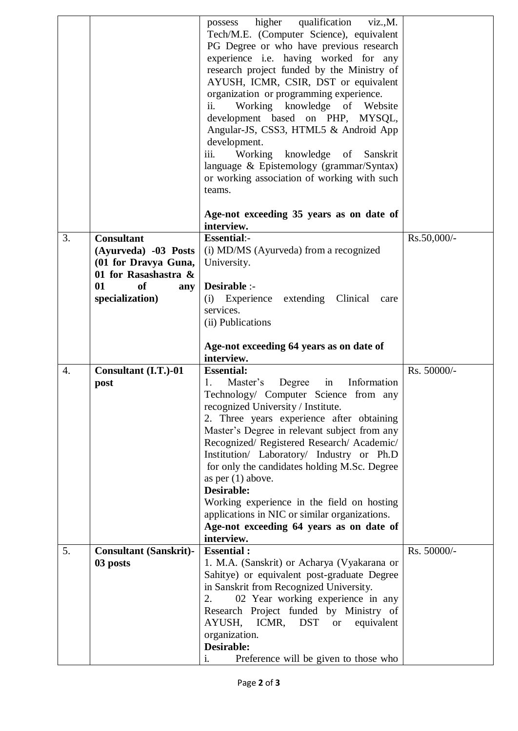|            |                                                                                                                           | qualification<br>possess higher<br>viz., M.<br>Tech/M.E. (Computer Science), equivalent<br>PG Degree or who have previous research<br>experience i.e. having worked for any<br>research project funded by the Ministry of<br>AYUSH, ICMR, CSIR, DST or equivalent<br>organization or programming experience.<br>Working knowledge of Website<br>ii.                                                                                                                                                                                                                                     |             |
|------------|---------------------------------------------------------------------------------------------------------------------------|-----------------------------------------------------------------------------------------------------------------------------------------------------------------------------------------------------------------------------------------------------------------------------------------------------------------------------------------------------------------------------------------------------------------------------------------------------------------------------------------------------------------------------------------------------------------------------------------|-------------|
|            |                                                                                                                           | development based on PHP, MYSQL,<br>Angular-JS, CSS3, HTML5 & Android App<br>development.<br>Working<br>knowledge of Sanskrit<br>iii.<br>language & Epistemology (grammar/Syntax)<br>or working association of working with such                                                                                                                                                                                                                                                                                                                                                        |             |
|            |                                                                                                                           | teams.<br>Age-not exceeding 35 years as on date of<br>interview.                                                                                                                                                                                                                                                                                                                                                                                                                                                                                                                        |             |
| 3.<br>01   | <b>Consultant</b><br>(Ayurveda) -03 Posts<br>(01 for Dravya Guna,<br>01 for Rasashastra &<br>of<br>any<br>specialization) | <b>Essential:-</b><br>(i) MD/MS (Ayurveda) from a recognized<br>University.<br>Desirable :-<br>Experience extending Clinical<br>(i)<br>care<br>services.<br>(ii) Publications                                                                                                                                                                                                                                                                                                                                                                                                           | Rs.50,000/- |
|            |                                                                                                                           |                                                                                                                                                                                                                                                                                                                                                                                                                                                                                                                                                                                         |             |
|            |                                                                                                                           | Age-not exceeding 64 years as on date of<br>interview.                                                                                                                                                                                                                                                                                                                                                                                                                                                                                                                                  |             |
| 4.<br>post | Consultant (I.T.)-01                                                                                                      | <b>Essential:</b><br>Master's<br>Degree<br>Information<br>1.<br>in<br>Technology/ Computer Science from any<br>recognized University / Institute.<br>2. Three years experience after obtaining<br>Master's Degree in relevant subject from any<br>Recognized/ Registered Research/ Academic/<br>Institution/ Laboratory/ Industry or Ph.D<br>for only the candidates holding M.Sc. Degree<br>as per $(1)$ above.<br>Desirable:<br>Working experience in the field on hosting<br>applications in NIC or similar organizations.<br>Age-not exceeding 64 years as on date of<br>interview. | Rs. 50000/- |